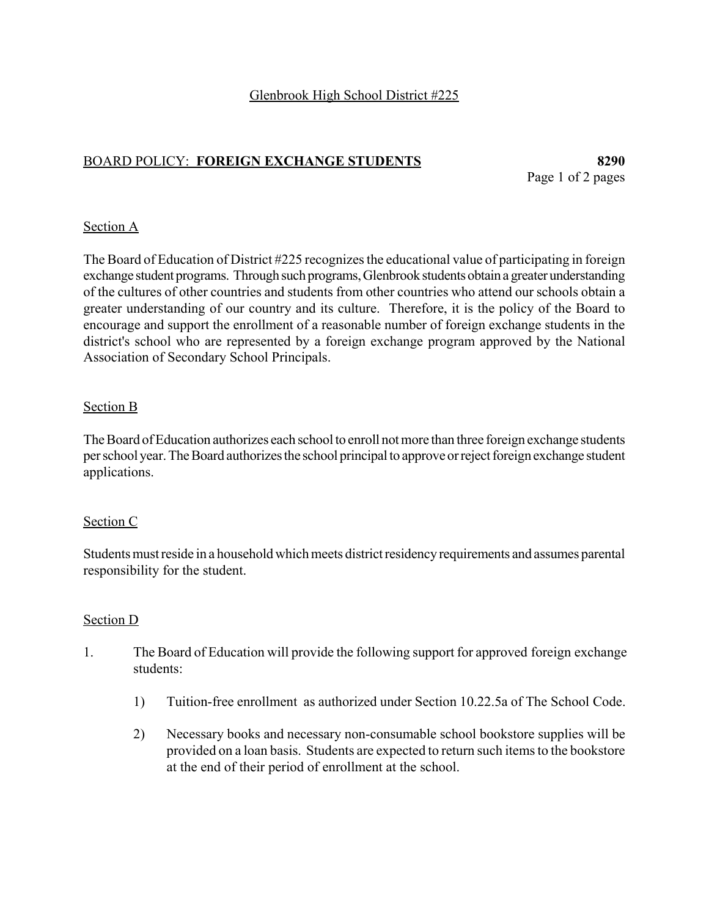# BOARD POLICY: **FOREIGN EXCHANGE STUDENTS 8290**

Page 1 of 2 pages

### Section A

The Board of Education of District #225 recognizes the educational value of participating in foreign exchange student programs. Through such programs, Glenbrook students obtain a greater understanding of the cultures of other countries and students from other countries who attend our schools obtain a greater understanding of our country and its culture. Therefore, it is the policy of the Board to encourage and support the enrollment of a reasonable number of foreign exchange students in the district's school who are represented by a foreign exchange program approved by the National Association of Secondary School Principals.

### Section B

The Board of Education authorizes each school to enroll not more than three foreign exchange students per school year. The Board authorizes the school principal to approve or reject foreign exchange student applications.

### Section C

Students must reside in a household which meets district residency requirements and assumes parental responsibility for the student.

### Section D

- 1. The Board of Education will provide the following support for approved foreign exchange students:
	- 1) Tuition-free enrollment as authorized under Section 10.22.5a of The School Code.
	- 2) Necessary books and necessary non-consumable school bookstore supplies will be provided on a loan basis. Students are expected to return such items to the bookstore at the end of their period of enrollment at the school.